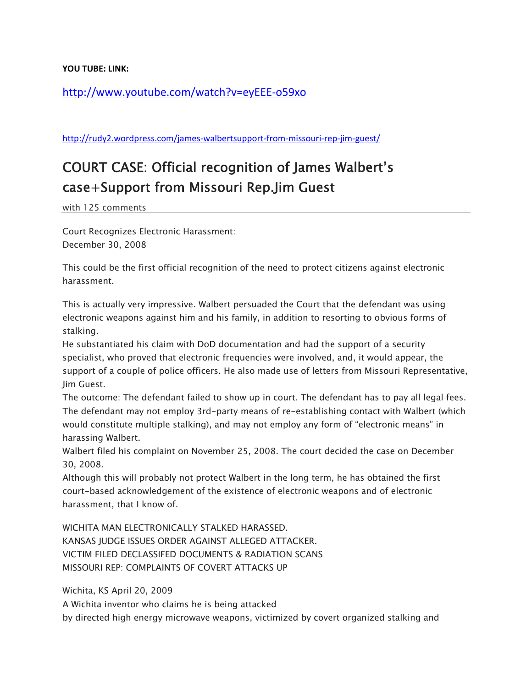**YOU TUBE: LINK:** 

http://www.youtube.com/watch?v=eyEEE‐o59xo

http://rudy2.wordpress.com/james-walbertsupport-from-missouri-rep-jim-guest/

## COURT CASE: Official recognition of James Walbert's case+Support from Missouri Rep.Jim Guest

with 125 comments

Court Recognizes Electronic Harassment: December 30, 2008

This could be the first official recognition of the need to protect citizens against electronic harassment.

This is actually very impressive. Walbert persuaded the Court that the defendant was using electronic weapons against him and his family, in addition to resorting to obvious forms of stalking.

He substantiated his claim with DoD documentation and had the support of a security specialist, who proved that electronic frequencies were involved, and, it would appear, the support of a couple of police officers. He also made use of letters from Missouri Representative, Jim Guest.

The outcome: The defendant failed to show up in court. The defendant has to pay all legal fees. The defendant may not employ 3rd-party means of re-establishing contact with Walbert (which would constitute multiple stalking), and may not employ any form of "electronic means" in harassing Walbert.

Walbert filed his complaint on November 25, 2008. The court decided the case on December 30, 2008.

Although this will probably not protect Walbert in the long term, he has obtained the first court-based acknowledgement of the existence of electronic weapons and of electronic harassment, that I know of.

WICHITA MAN ELECTRONICALLY STALKED HARASSED. KANSAS JUDGE ISSUES ORDER AGAINST ALLEGED ATTACKER. VICTIM FILED DECLASSIFED DOCUMENTS & RADIATION SCANS MISSOURI REP: COMPLAINTS OF COVERT ATTACKS UP

Wichita, KS April 20, 2009

A Wichita inventor who claims he is being attacked

by directed high energy microwave weapons, victimized by covert organized stalking and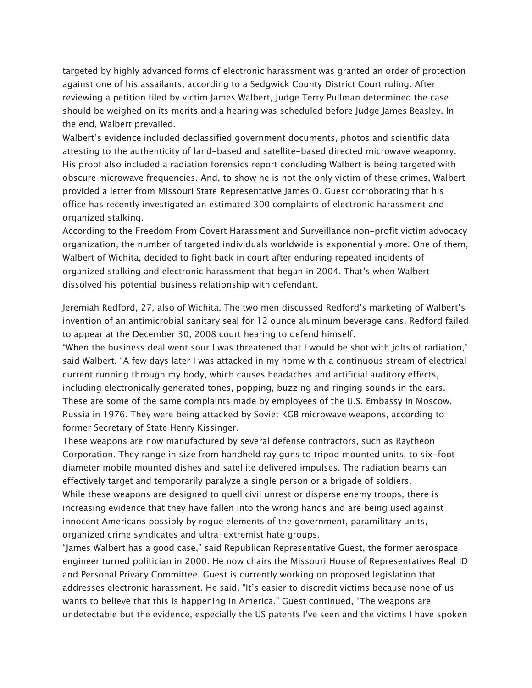targeted by highly advanced forms of electronic harassment was granted an order of protection against one of his assailants, according to a Sedgwick County District Court ruling. After reviewing a petition filed by victim James Walbert, Judge Terry Pullman determined the case should be weighed on its merits and a hearing was scheduled before Judge James Beasley. In the end, Walbert prevailed.

Walbert's evidence included declassified government documents, photos and scientific data attesting to the authenticity of land-based and satellite-based directed microwave weaponry. His proof also included a radiation forensics report concluding Walbert is being targeted with obscure microwave frequencies. And, to show he is not the only victim of these crimes, Walbert provided a letter from Missouri State Representative James O. Guest corroborating that his office has recently investigated an estimated 300 complaints of electronic harassment and organized stalking.

According to the Freedom From Covert Harassment and Surveillance non-profit victim advocacy organization, the number of targeted individuals worldwide is exponentially more. One of them, Walbert of Wichita, decided to fight back in court after enduring repeated incidents of organized stalking and electronic harassment that began in 2004. That's when Walbert dissolved his potential business relationship with defendant.

Jeremiah Redford, 27, also of Wichita. The two men discussed Redford's marketing of Walbert's invention of an antimicrobial sanitary seal for 12 ounce aluminum beverage cans. Redford failed to appear at the December 30, 2008 court hearing to defend himself.

"When the business deal went sour I was threatened that I would be shot with jolts of radiation," said Walbert. "A few days later I was attacked in my home with a continuous stream of electrical current running through my body, which causes headaches and artificial auditory effects, including electronically generated tones, popping, buzzing and ringing sounds in the ears. These are some of the same complaints made by employees of the U.S. Embassy in Moscow, Russia in 1976. They were being attacked by Soviet KGB microwave weapons, according to former Secretary of State Henry Kissinger.

These weapons are now manufactured by several defense contractors, such as Raytheon Corporation. They range in size from handheld ray guns to tripod mounted units, to six-foot diameter mobile mounted dishes and satellite delivered impulses. The radiation beams can effectively target and temporarily paralyze a single person or a brigade of soldiers. While these weapons are designed to quell civil unrest or disperse enemy troops, there is increasing evidence that they have fallen into the wrong hands and are being used against innocent Americans possibly by rogue elements of the government, paramilitary units, organized crime syndicates and ultra-extremist hate groups.

"James Walbert has a good case," said Republican Representative Guest, the former aerospace engineer turned politician in 2000. He now chairs the Missouri House of Representatives Real ID and Personal Privacy Committee. Guest is currently working on proposed legislation that addresses electronic harassment. He said, "It's easier to discredit victims because none of us wants to believe that this is happening in America." Guest continued, "The weapons are undetectable but the evidence, especially the US patents I've seen and the victims I have spoken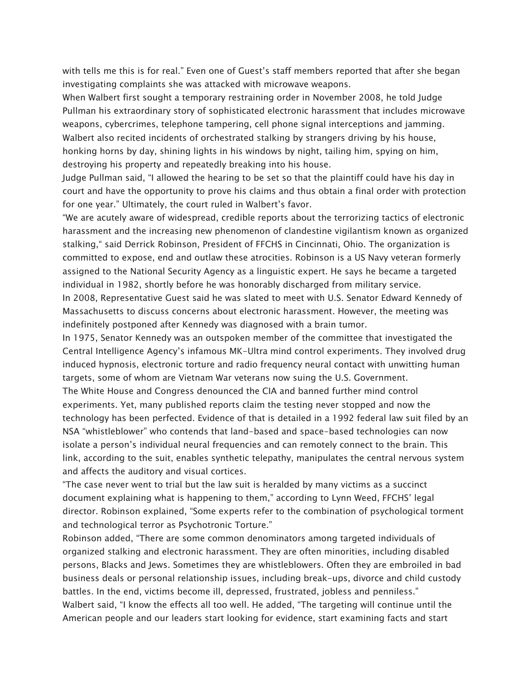with tells me this is for real." Even one of Guest's staff members reported that after she began investigating complaints she was attacked with microwave weapons.

When Walbert first sought a temporary restraining order in November 2008, he told Judge Pullman his extraordinary story of sophisticated electronic harassment that includes microwave weapons, cybercrimes, telephone tampering, cell phone signal interceptions and jamming. Walbert also recited incidents of orchestrated stalking by strangers driving by his house, honking horns by day, shining lights in his windows by night, tailing him, spying on him, destroying his property and repeatedly breaking into his house.

Judge Pullman said, "I allowed the hearing to be set so that the plaintiff could have his day in court and have the opportunity to prove his claims and thus obtain a final order with protection for one year." Ultimately, the court ruled in Walbert's favor.

"We are acutely aware of widespread, credible reports about the terrorizing tactics of electronic harassment and the increasing new phenomenon of clandestine vigilantism known as organized stalking," said Derrick Robinson, President of FFCHS in Cincinnati, Ohio. The organization is committed to expose, end and outlaw these atrocities. Robinson is a US Navy veteran formerly assigned to the National Security Agency as a linguistic expert. He says he became a targeted individual in 1982, shortly before he was honorably discharged from military service. In 2008, Representative Guest said he was slated to meet with U.S. Senator Edward Kennedy of Massachusetts to discuss concerns about electronic harassment. However, the meeting was indefinitely postponed after Kennedy was diagnosed with a brain tumor.

In 1975, Senator Kennedy was an outspoken member of the committee that investigated the Central Intelligence Agency's infamous MK-Ultra mind control experiments. They involved drug induced hypnosis, electronic torture and radio frequency neural contact with unwitting human targets, some of whom are Vietnam War veterans now suing the U.S. Government. The White House and Congress denounced the CIA and banned further mind control experiments. Yet, many published reports claim the testing never stopped and now the technology has been perfected. Evidence of that is detailed in a 1992 federal law suit filed by an NSA "whistleblower" who contends that land-based and space-based technologies can now isolate a person's individual neural frequencies and can remotely connect to the brain. This link, according to the suit, enables synthetic telepathy, manipulates the central nervous system and affects the auditory and visual cortices.

"The case never went to trial but the law suit is heralded by many victims as a succinct document explaining what is happening to them," according to Lynn Weed, FFCHS' legal director. Robinson explained, "Some experts refer to the combination of psychological torment and technological terror as Psychotronic Torture."

Robinson added, "There are some common denominators among targeted individuals of organized stalking and electronic harassment. They are often minorities, including disabled persons, Blacks and Jews. Sometimes they are whistleblowers. Often they are embroiled in bad business deals or personal relationship issues, including break-ups, divorce and child custody battles. In the end, victims become ill, depressed, frustrated, jobless and penniless." Walbert said, "I know the effects all too well. He added, "The targeting will continue until the American people and our leaders start looking for evidence, start examining facts and start